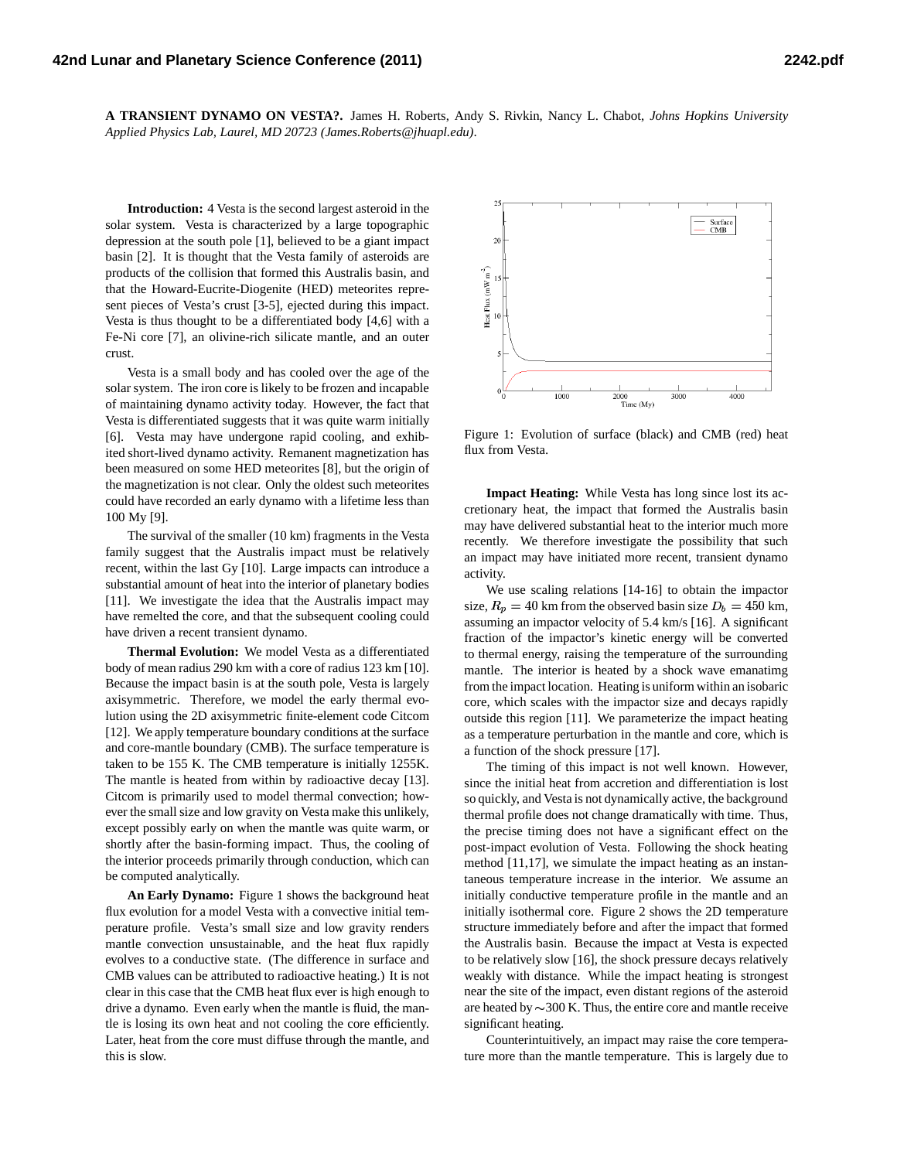**A TRANSIENT DYNAMO ON VESTA?.** James H. Roberts, Andy S. Rivkin, Nancy L. Chabot, *Johns Hopkins University Applied Physics Lab, Laurel, MD 20723 (James.Roberts@jhuapl.edu)*.

**Introduction:** 4 Vesta is the second largest asteroid in the solar system. Vesta is characterized by a large topographic depression at the south pole [1], believed to be a giant impact basin [2]. It is thought that the Vesta family of asteroids are products of the collision that formed this Australis basin, and that the Howard-Eucrite-Diogenite (HED) meteorites represent pieces of Vesta's crust [3-5], ejected during this impact. Vesta is thus thought to be a differentiated body [4,6] with a Fe-Ni core [7], an olivine-rich silicate mantle, and an outer crust.

Vesta is a small body and has cooled over the age of the solar system. The iron core is likely to be frozen and incapable of maintaining dynamo activity today. However, the fact that Vesta is differentiated suggests that it was quite warm initially [6]. Vesta may have undergone rapid cooling, and exhibited short-lived dynamo activity. Remanent magnetization has been measured on some HED meteorites [8], but the origin of the magnetization is not clear. Only the oldest such meteorites could have recorded an early dynamo with a lifetime less than 100 My [9].

The survival of the smaller (10 km) fragments in the Vesta family suggest that the Australis impact must be relatively recent, within the last Gy [10]. Large impacts can introduce a substantial amount of heat into the interior of planetary bodies [11]. We investigate the idea that the Australis impact may have remelted the core, and that the subsequent cooling could have driven a recent transient dynamo.

**Thermal Evolution:** We model Vesta as a differentiated body of mean radius 290 km with a core of radius 123 km [10]. Because the impact basin is at the south pole, Vesta is largely axisymmetric. Therefore, we model the early thermal evolution using the 2D axisymmetric finite-element code Citcom [12]. We apply temperature boundary conditions at the surface and core-mantle boundary (CMB). The surface temperature is taken to be 155 K. The CMB temperature is initially 1255K. The mantle is heated from within by radioactive decay [13]. Citcom is primarily used to model thermal convection; however the small size and low gravity on Vesta make this unlikely, except possibly early on when the mantle was quite warm, or shortly after the basin-forming impact. Thus, the cooling of the interior proceeds primarily through conduction, which can be computed analytically.

**An Early Dynamo:** Figure 1 shows the background heat flux evolution for a model Vesta with a convective initial temperature profile. Vesta's small size and low gravity renders mantle convection unsustainable, and the heat flux rapidly evolves to a conductive state. (The difference in surface and CMB values can be attributed to radioactive heating.) It is not clear in this case that the CMB heat flux ever is high enough to drive a dynamo. Even early when the mantle is fluid, the mantle is losing its own heat and not cooling the core efficiently. Later, heat from the core must diffuse through the mantle, and this is slow.



Figure 1: Evolution of surface (black) and CMB (red) heat flux from Vesta.

**Impact Heating:** While Vesta has long since lost its accretionary heat, the impact that formed the Australis basin may have delivered substantial heat to the interior much more recently. We therefore investigate the possibility that such an impact may have initiated more recent, transient dynamo activity.

We use scaling relations [14-16] to obtain the impactor size,  $R_p = 40$  km from the observed basin size  $D_b = 450$  km, assuming an impactor velocity of 5.4 km/s [16]. A significant fraction of the impactor's kinetic energy will be converted to thermal energy, raising the temperature of the surrounding mantle. The interior is heated by a shock wave emanatimg from the impact location. Heating is uniform within an isobaric core, which scales with the impactor size and decays rapidly outside this region [11]. We parameterize the impact heating as a temperature perturbation in the mantle and core, which is a function of the shock pressure [17].

The timing of this impact is not well known. However, since the initial heat from accretion and differentiation is lost so quickly, and Vesta is not dynamically active, the background thermal profile does not change dramatically with time. Thus, the precise timing does not have a significant effect on the post-impact evolution of Vesta. Following the shock heating method [11,17], we simulate the impact heating as an instantaneous temperature increase in the interior. We assume an initially conductive temperature profile in the mantle and an initially isothermal core. Figure 2 shows the 2D temperature structure immediately before and after the impact that formed the Australis basin. Because the impact at Vesta is expected to be relatively slow [16], the shock pressure decays relatively weakly with distance. While the impact heating is strongest near the site of the impact, even distant regions of the asteroid are heated by  $\sim$  300 K. Thus, the entire core and mantle receive significant heating.

Counterintuitively, an impact may raise the core temperature more than the mantle temperature. This is largely due to